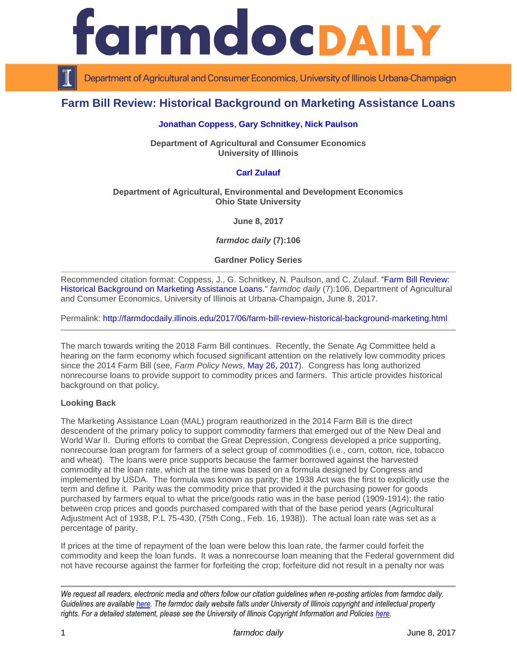

Department of Agricultural and Consumer Economics, University of Illinois Urbana-Champaign

# **Farm Bill Review: Historical Background on Marketing Assistance Loans**

## **[Jonathan Coppess,](http://farmdoc.illinois.edu/coppess) [Gary Schnitkey,](http://farmdoc.illinois.edu/schnitkey) [Nick Paulson](http://farmdoc.illinois.edu/paulson)**

**Department of Agricultural and Consumer Economics University of Illinois**

# **[Carl Zulauf](http://aede.osu.edu/our-people/carl-zulauf)**

## **Department of Agricultural, Environmental and Development Economics Ohio State University**

**June 8, 2017**

*farmdoc daily* **(7):106**

**Gardner Policy Series**

Recommended citation format: Coppess, J., G. Schnitkey, N. Paulson, and C. Zulauf. ["Farm Bill Review:](http://farmdocdaily.illinois.edu/2017/06/farm-bill-review-historical-background-marketing.html)  [Historical Background on Marketing Assistance Loans.](http://farmdocdaily.illinois.edu/2017/06/farm-bill-review-historical-background-marketing.html)" *farmdoc daily* (7):106, Department of Agricultural and Consumer Economics, University of Illinois at Urbana-Champaign, June 8, 2017.

Permalink: <http://farmdocdaily.illinois.edu/2017/06/farm-bill-review-historical-background-marketing.html>

The march towards writing the 2018 Farm Bill continues. Recently, the Senate Ag Committee held a hearing on the farm economy which focused significant attention on the relatively low commodity prices since the 2014 Farm Bill (see, *Farm Policy News*, [May 26, 2017\)](http://farmpolicynews.illinois.edu/2017/05/senate-ag-committee-examines-farm-economy/). Congress has long authorized nonrecourse loans to provide support to commodity prices and farmers. This article provides historical background on that policy.

#### **Looking Back**

The Marketing Assistance Loan (MAL) program reauthorized in the 2014 Farm Bill is the direct descendent of the primary policy to support commodity farmers that emerged out of the New Deal and World War II. During efforts to combat the Great Depression, Congress developed a price supporting, nonrecourse loan program for farmers of a select group of commodities (i.e., corn, cotton, rice, tobacco and wheat). The loans were price supports because the farmer borrowed against the harvested commodity at the loan rate, which at the time was based on a formula designed by Congress and implemented by USDA. The formula was known as parity; the 1938 Act was the first to explicitly use the term and define it. Parity was the commodity price that provided it the purchasing power for goods purchased by farmers equal to what the price/goods ratio was in the base period (1909-1914); the ratio between crop prices and goods purchased compared with that of the base period years (Agricultural Adjustment Act of 1938, P.L 75-430, (75th Cong., Feb. 16, 1938)). The actual loan rate was set as a percentage of parity.

If prices at the time of repayment of the loan were below this loan rate, the farmer could forfeit the commodity and keep the loan funds. It was a nonrecourse loan meaning that the Federal government did not have recourse against the farmer for forfeiting the crop; forfeiture did not result in a penalty nor was

*We request all readers, electronic media and others follow our citation guidelines when re-posting articles from farmdoc daily. Guidelines are available [here.](http://farmdocdaily.illinois.edu/citationguide.html) The farmdoc daily website falls under University of Illinois copyright and intellectual property rights. For a detailed statement, please see the University of Illinois Copyright Information and Policies [here.](http://www.cio.illinois.edu/policies/copyright/)*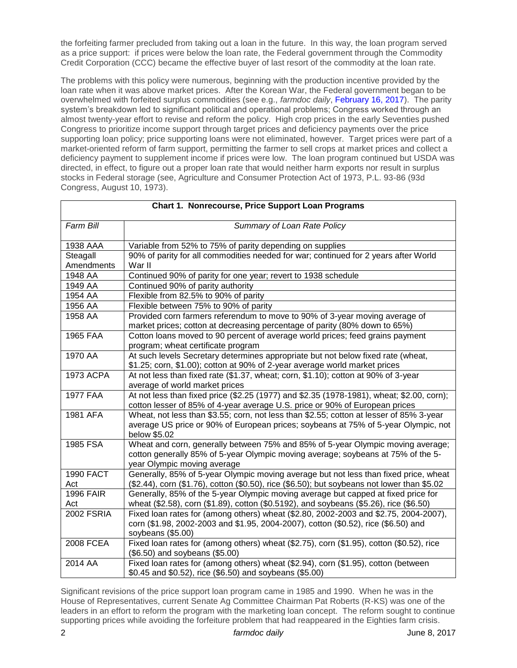the forfeiting farmer precluded from taking out a loan in the future. In this way, the loan program served as a price support: if prices were below the loan rate, the Federal government through the Commodity Credit Corporation (CCC) became the effective buyer of last resort of the commodity at the loan rate.

The problems with this policy were numerous, beginning with the production incentive provided by the loan rate when it was above market prices. After the Korean War, the Federal government began to be overwhelmed with forfeited surplus commodities (see e.g., *farmdoc daily*, [February 16, 2017\)](http://farmdocdaily.illinois.edu/2017/02/reviewing-farm-bill-history-agricultural-act-1954.html). The parity system's breakdown led to significant political and operational problems; Congress worked through an almost twenty-year effort to revise and reform the policy. High crop prices in the early Seventies pushed Congress to prioritize income support through target prices and deficiency payments over the price supporting loan policy; price supporting loans were not eliminated, however. Target prices were part of a market-oriented reform of farm support, permitting the farmer to sell crops at market prices and collect a deficiency payment to supplement income if prices were low. The loan program continued but USDA was directed, in effect, to figure out a proper loan rate that would neither harm exports nor result in surplus stocks in Federal storage (see, Agriculture and Consumer Protection Act of 1973, P.L. 93-86 (93d Congress, August 10, 1973).

| Chart 1. Nonrecourse, Price Support Loan Programs |                                                                                                                                                                             |
|---------------------------------------------------|-----------------------------------------------------------------------------------------------------------------------------------------------------------------------------|
| Farm Bill                                         | Summary of Loan Rate Policy                                                                                                                                                 |
| 1938 AAA                                          | Variable from 52% to 75% of parity depending on supplies                                                                                                                    |
| Steagall                                          | 90% of parity for all commodities needed for war; continued for 2 years after World                                                                                         |
| Amendments                                        | War II                                                                                                                                                                      |
| 1948 AA                                           | Continued 90% of parity for one year; revert to 1938 schedule                                                                                                               |
| 1949 AA                                           | Continued 90% of parity authority                                                                                                                                           |
| 1954 AA                                           | Flexible from 82.5% to 90% of parity                                                                                                                                        |
| 1956 AA                                           | Flexible between 75% to 90% of parity                                                                                                                                       |
| 1958 AA                                           | Provided corn farmers referendum to move to 90% of 3-year moving average of                                                                                                 |
|                                                   | market prices; cotton at decreasing percentage of parity (80% down to 65%)                                                                                                  |
| <b>1965 FAA</b>                                   | Cotton loans moved to 90 percent of average world prices; feed grains payment<br>program; wheat certificate program                                                         |
| 1970 AA                                           | At such levels Secretary determines appropriate but not below fixed rate (wheat,                                                                                            |
|                                                   | \$1.25; corn, \$1.00); cotton at 90% of 2-year average world market prices                                                                                                  |
| <b>1973 ACPA</b>                                  | At not less than fixed rate (\$1.37, wheat; corn, \$1.10); cotton at 90% of 3-year<br>average of world market prices                                                        |
| <b>1977 FAA</b>                                   | At not less than fixed price (\$2.25 (1977) and \$2.35 (1978-1981), wheat; \$2.00, corn);                                                                                   |
|                                                   | cotton lesser of 85% of 4-year average U.S. price or 90% of European prices                                                                                                 |
| 1981 AFA                                          | Wheat, not less than \$3.55; corn, not less than \$2.55; cotton at lesser of 85% 3-year                                                                                     |
|                                                   | average US price or 90% of European prices; soybeans at 75% of 5-year Olympic, not                                                                                          |
|                                                   | below \$5.02                                                                                                                                                                |
| 1985 FSA                                          | Wheat and corn, generally between 75% and 85% of 5-year Olympic moving average;                                                                                             |
|                                                   | cotton generally 85% of 5-year Olympic moving average; soybeans at 75% of the 5-                                                                                            |
|                                                   | year Olympic moving average                                                                                                                                                 |
| <b>1990 FACT</b>                                  | Generally, 85% of 5-year Olympic moving average but not less than fixed price, wheat                                                                                        |
| Act<br><b>1996 FAIR</b>                           | (\$2.44), corn (\$1.76), cotton (\$0.50), rice (\$6.50); but soybeans not lower than \$5.02                                                                                 |
|                                                   | Generally, 85% of the 5-year Olympic moving average but capped at fixed price for<br>wheat (\$2.58), corn (\$1.89), cotton (\$0.5192), and soybeans (\$5.26), rice (\$6.50) |
| Act<br><b>2002 FSRIA</b>                          | Fixed loan rates for (among others) wheat (\$2.80, 2002-2003 and \$2.75, 2004-2007),                                                                                        |
|                                                   | corn (\$1.98, 2002-2003 and \$1.95, 2004-2007), cotton (\$0.52), rice (\$6.50) and                                                                                          |
|                                                   | soybeans (\$5.00)                                                                                                                                                           |
| 2008 FCEA                                         | Fixed loan rates for (among others) wheat (\$2.75), corn (\$1.95), cotton (\$0.52), rice                                                                                    |
|                                                   | (\$6.50) and soybeans (\$5.00)                                                                                                                                              |
| 2014 AA                                           | Fixed loan rates for (among others) wheat (\$2.94), corn (\$1.95), cotton (between                                                                                          |
|                                                   | \$0.45 and \$0.52), rice (\$6.50) and soybeans (\$5.00)                                                                                                                     |

Significant revisions of the price support loan program came in 1985 and 1990. When he was in the House of Representatives, current Senate Ag Committee Chairman Pat Roberts (R-KS) was one of the leaders in an effort to reform the program with the marketing loan concept. The reform sought to continue supporting prices while avoiding the forfeiture problem that had reappeared in the Eighties farm crisis.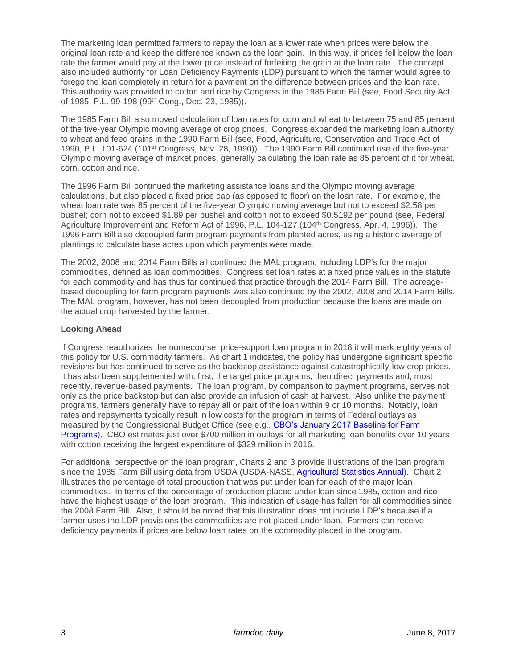The marketing loan permitted farmers to repay the loan at a lower rate when prices were below the original loan rate and keep the difference known as the loan gain. In this way, if prices fell below the loan rate the farmer would pay at the lower price instead of forfeiting the grain at the loan rate. The concept also included authority for Loan Deficiency Payments (LDP) pursuant to which the farmer would agree to forego the loan completely in return for a payment on the difference between prices and the loan rate. This authority was provided to cotton and rice by Congress in the 1985 Farm Bill (see, Food Security Act of 1985, P.L. 99-198 (99th Cong., Dec. 23, 1985)).

The 1985 Farm Bill also moved calculation of loan rates for corn and wheat to between 75 and 85 percent of the five-year Olympic moving average of crop prices. Congress expanded the marketing loan authority to wheat and feed grains in the 1990 Farm Bill (see, Food, Agriculture, Conservation and Trade Act of 1990, P.L. 101-624 (101<sup>st</sup> Congress, Nov. 28, 1990)). The 1990 Farm Bill continued use of the five-year Olympic moving average of market prices, generally calculating the loan rate as 85 percent of it for wheat, corn, cotton and rice.

The 1996 Farm Bill continued the marketing assistance loans and the Olympic moving average calculations, but also placed a fixed price cap (as opposed to floor) on the loan rate. For example, the wheat loan rate was 85 percent of the five-year Olympic moving average but not to exceed \$2.58 per bushel; corn not to exceed \$1.89 per bushel and cotton not to exceed \$0.5192 per pound (see, Federal Agriculture Improvement and Reform Act of 1996, P.L. 104-127 (104th Congress, Apr. 4, 1996)). The 1996 Farm Bill also decoupled farm program payments from planted acres, using a historic average of plantings to calculate base acres upon which payments were made.

The 2002, 2008 and 2014 Farm Bills all continued the MAL program, including LDP's for the major commodities, defined as loan commodities. Congress set loan rates at a fixed price values in the statute for each commodity and has thus far continued that practice through the 2014 Farm Bill. The acreagebased decoupling for farm program payments was also continued by the 2002, 2008 and 2014 Farm Bills. The MAL program, however, has not been decoupled from production because the loans are made on the actual crop harvested by the farmer.

# **Looking Ahead**

If Congress reauthorizes the nonrecourse, price-support loan program in 2018 it will mark eighty years of this policy for U.S. commodity farmers. As chart 1 indicates, the policy has undergone significant specific revisions but has continued to serve as the backstop assistance against catastrophically-low crop prices. It has also been supplemented with, first, the target price programs, then direct payments and, most recently, revenue-based payments. The loan program, by comparison to payment programs, serves not only as the price backstop but can also provide an infusion of cash at harvest. Also unlike the payment programs, farmers generally have to repay all or part of the loan within 9 or 10 months. Notably, loan rates and repayments typically result in low costs for the program in terms of Federal outlays as measured by the Congressional Budget Office (see e.g., [CBO's January 2017 Baseline for Farm](https://www.cbo.gov/sites/default/files/recurringdata/51317-2017-01-usda.pdf)  [Programs\)](https://www.cbo.gov/sites/default/files/recurringdata/51317-2017-01-usda.pdf). CBO estimates just over \$700 million in outlays for all marketing loan benefits over 10 years, with cotton receiving the largest expenditure of \$329 million in 2016.

For additional perspective on the loan program, Charts 2 and 3 provide illustrations of the loan program since the 1985 Farm Bill using data from USDA (USDA-NASS, [Agricultural Statistics Annual\)](https://www.nass.usda.gov/Publications/Ag_Statistics/index.php). Chart 2 illustrates the percentage of total production that was put under loan for each of the major loan commodities. In terms of the percentage of production placed under loan since 1985, cotton and rice have the highest usage of the loan program. This indication of usage has fallen for all commodities since the 2008 Farm Bill. Also, it should be noted that this illustration does not include LDP's because if a farmer uses the LDP provisions the commodities are not placed under loan. Farmers can receive deficiency payments if prices are below loan rates on the commodity placed in the program.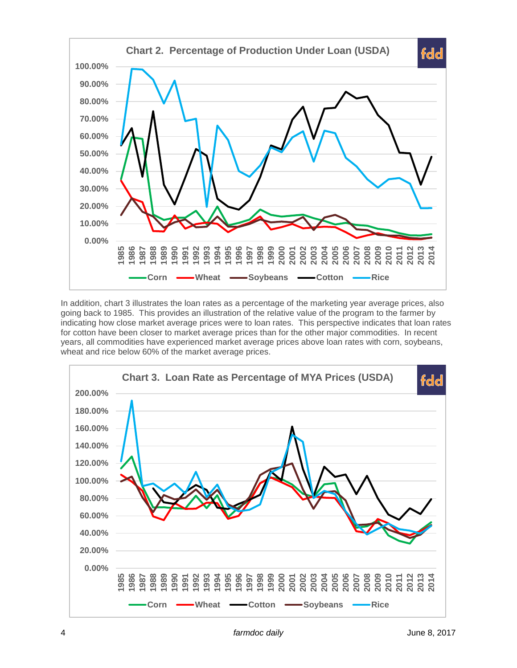

In addition, chart 3 illustrates the loan rates as a percentage of the marketing year average prices, also going back to 1985. This provides an illustration of the relative value of the program to the farmer by indicating how close market average prices were to loan rates. This perspective indicates that loan rates for cotton have been closer to market average prices than for the other major commodities. In recent years, all commodities have experienced market average prices above loan rates with corn, soybeans, wheat and rice below 60% of the market average prices.